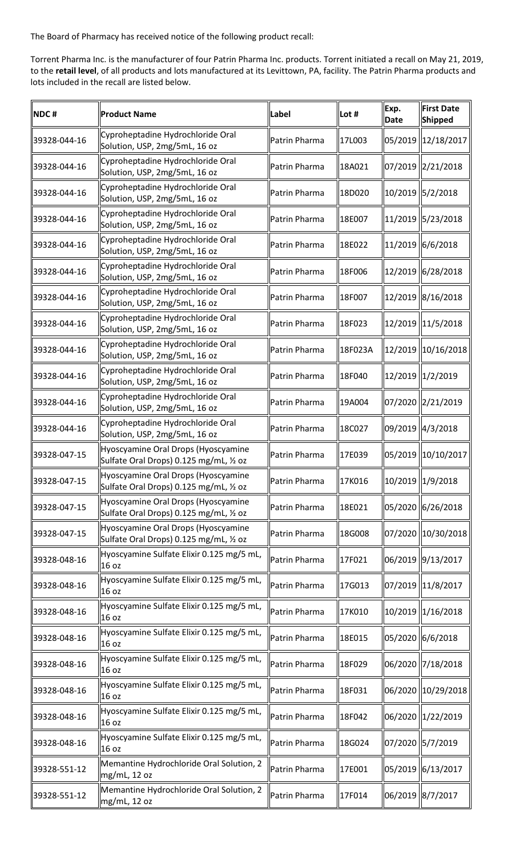The Board of Pharmacy has received notice of the following product recall:

 Torrent Pharma Inc. is the manufacturer of four Patrin Pharma Inc. products. Torrent initiated a recall on May 21, 2019, to the **retail level**, of all products and lots manufactured at its Levittown, PA, facility. The Patrin Pharma products and lots included in the recall are listed below.

| NDC#         | <b>Product Name</b>                                                            | Label         | Lot #   | Exp.<br><b>Date</b> | <b>First Date</b><br><b>Shipped</b> |
|--------------|--------------------------------------------------------------------------------|---------------|---------|---------------------|-------------------------------------|
| 39328-044-16 | Cyproheptadine Hydrochloride Oral<br>Solution, USP, 2mg/5mL, 16 oz             | Patrin Pharma | 17L003  |                     | 05/2019  12/18/2017                 |
| 39328-044-16 | Cyproheptadine Hydrochloride Oral<br>Solution, USP, 2mg/5mL, 16 oz             | Patrin Pharma | 18A021  |                     | 07/2019  2/21/2018                  |
| 39328-044-16 | Cyproheptadine Hydrochloride Oral<br>Solution, USP, 2mg/5mL, 16 oz             | Patrin Pharma | 18D020  |                     | 10/2019 5/2/2018                    |
| 39328-044-16 | Cyproheptadine Hydrochloride Oral<br>Solution, USP, 2mg/5mL, 16 oz             | Patrin Pharma | 18E007  |                     | 11/2019 5/23/2018                   |
| 39328-044-16 | Cyproheptadine Hydrochloride Oral<br>Solution, USP, 2mg/5mL, 16 oz             | Patrin Pharma | 18E022  |                     | 11/2019 6/6/2018                    |
| 39328-044-16 | Cyproheptadine Hydrochloride Oral<br>Solution, USP, 2mg/5mL, 16 oz             | Patrin Pharma | 18F006  |                     | 12/2019 6/28/2018                   |
| 39328-044-16 | Cyproheptadine Hydrochloride Oral<br>Solution, USP, 2mg/5mL, 16 oz             | Patrin Pharma | 18F007  |                     | 12/2019 8/16/2018                   |
| 39328-044-16 | Cyproheptadine Hydrochloride Oral<br>Solution, USP, 2mg/5mL, 16 oz             | Patrin Pharma | 18F023  |                     | 12/2019 11/5/2018                   |
| 39328-044-16 | Cyproheptadine Hydrochloride Oral<br>Solution, USP, 2mg/5mL, 16 oz             | Patrin Pharma | 18F023A |                     | 12/2019 10/16/2018                  |
| 39328-044-16 | Cyproheptadine Hydrochloride Oral<br>Solution, USP, 2mg/5mL, 16 oz             | Patrin Pharma | 18F040  |                     | 12/2019 1/2/2019                    |
| 39328-044-16 | Cyproheptadine Hydrochloride Oral<br>Solution, USP, 2mg/5mL, 16 oz             | Patrin Pharma | 19A004  |                     | 07/2020 2/21/2019                   |
| 39328-044-16 | Cyproheptadine Hydrochloride Oral<br>Solution, USP, 2mg/5mL, 16 oz             | Patrin Pharma | 18C027  |                     | 09/2019 4/3/2018                    |
| 39328-047-15 | Hyoscyamine Oral Drops (Hyoscyamine<br>Sulfate Oral Drops) 0.125 mg/mL, 1/2 oz | Patrin Pharma | 17E039  |                     | 05/2019 10/10/2017                  |
| 39328-047-15 | Hyoscyamine Oral Drops (Hyoscyamine<br>Sulfate Oral Drops) 0.125 mg/mL, 1/2 oz | Patrin Pharma | 17K016  |                     | 10/2019 1/9/2018                    |
| 39328-047-15 | Hyoscyamine Oral Drops (Hyoscyamine<br>Sulfate Oral Drops) 0.125 mg/mL, 1/2 oz | Patrin Pharma | 18E021  |                     | 05/2020 6/26/2018                   |
| 39328-047-15 | Hyoscyamine Oral Drops (Hyoscyamine<br>Sulfate Oral Drops) 0.125 mg/mL, 1/2 oz | Patrin Pharma | 18G008  |                     | 07/2020 10/30/2018                  |
| 39328-048-16 | Hyoscyamine Sulfate Elixir 0.125 mg/5 mL,<br>16 oz                             | Patrin Pharma | 17F021  |                     | 06/2019 9/13/2017                   |
| 39328-048-16 | Hyoscyamine Sulfate Elixir 0.125 mg/5 mL,<br>16 oz                             | Patrin Pharma | 17G013  |                     | 07/2019 11/8/2017                   |
| 39328-048-16 | Hyoscyamine Sulfate Elixir 0.125 mg/5 mL,<br>16 oz                             | Patrin Pharma | 17K010  |                     | 10/2019 1/16/2018                   |
| 39328-048-16 | Hyoscyamine Sulfate Elixir 0.125 mg/5 mL,<br>16 oz                             | Patrin Pharma | 18E015  |                     | 05/2020 6/6/2018                    |
| 39328-048-16 | Hyoscyamine Sulfate Elixir 0.125 mg/5 mL,<br>16 oz                             | Patrin Pharma | 18F029  |                     | 06/2020 7/18/2018                   |
| 39328-048-16 | Hyoscyamine Sulfate Elixir 0.125 mg/5 mL,<br>16 oz                             | Patrin Pharma | 18F031  |                     | 06/2020 10/29/2018                  |
| 39328-048-16 | Hyoscyamine Sulfate Elixir 0.125 mg/5 mL,<br>16 oz                             | Patrin Pharma | 18F042  |                     | 06/2020 1/22/2019                   |
| 39328-048-16 | Hyoscyamine Sulfate Elixir 0.125 mg/5 mL,<br>16 oz                             | Patrin Pharma | 18G024  |                     | 07/2020 5/7/2019                    |
| 39328-551-12 | Memantine Hydrochloride Oral Solution, 2<br>mg/mL, 12 oz                       | Patrin Pharma | 17E001  |                     | 05/2019 6/13/2017                   |
| 39328-551-12 | Memantine Hydrochloride Oral Solution, 2<br>mg/mL, 12 oz                       | Patrin Pharma | 17F014  |                     | 06/2019 8/7/2017                    |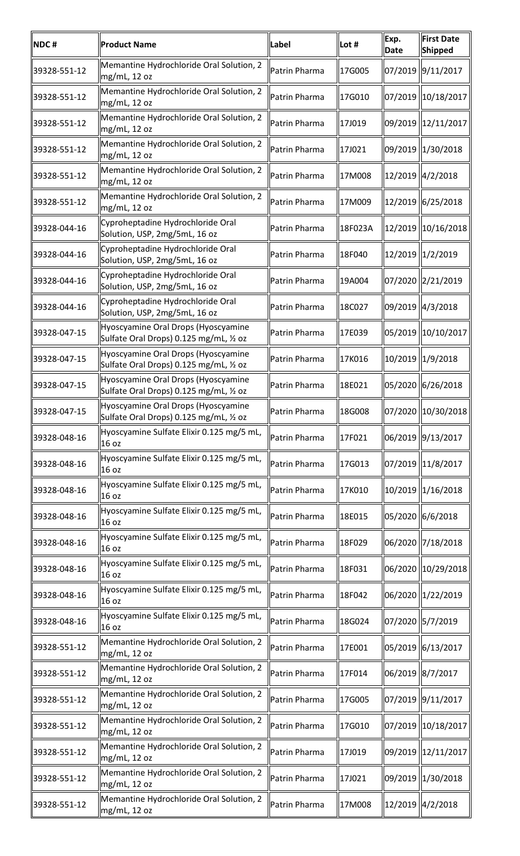| NDC#         | <b>Product Name</b>                                                            | Label         | Lot #   | Exp.<br>Date | <b>First Date</b><br>Shipped |
|--------------|--------------------------------------------------------------------------------|---------------|---------|--------------|------------------------------|
| 39328-551-12 | Memantine Hydrochloride Oral Solution, 2<br>mg/mL, 12 oz                       | Patrin Pharma | 17G005  |              | 07/2019 9/11/2017            |
| 39328-551-12 | Memantine Hydrochloride Oral Solution, 2<br>mg/mL, 12 oz                       | Patrin Pharma | 17G010  |              | 07/2019 10/18/2017           |
| 39328-551-12 | Memantine Hydrochloride Oral Solution, 2<br>mg/mL, 12 oz                       | Patrin Pharma | 17J019  |              | 09/2019 12/11/2017           |
| 39328-551-12 | Memantine Hydrochloride Oral Solution, 2<br>mg/mL, 12 oz                       | Patrin Pharma | 17J021  |              | 09/2019   1/30/2018          |
| 39328-551-12 | Memantine Hydrochloride Oral Solution, 2<br>mg/mL, 12 oz                       | Patrin Pharma | 17M008  |              | $12/2019$ $ 4/2/2018$        |
| 39328-551-12 | Memantine Hydrochloride Oral Solution, 2<br>mg/mL, 12 oz                       | Patrin Pharma | 17M009  |              | 12/2019 6/25/2018            |
| 39328-044-16 | Cyproheptadine Hydrochloride Oral<br>Solution, USP, 2mg/5mL, 16 oz             | Patrin Pharma | 18F023A |              | 12/2019 10/16/2018           |
| 39328-044-16 | Cyproheptadine Hydrochloride Oral<br>Solution, USP, 2mg/5mL, 16 oz             | Patrin Pharma | 18F040  |              | 12/2019 1/2/2019             |
| 39328-044-16 | Cyproheptadine Hydrochloride Oral<br>Solution, USP, 2mg/5mL, 16 oz             | Patrin Pharma | 19A004  |              | 07/2020   2/21/2019          |
| 39328-044-16 | Cyproheptadine Hydrochloride Oral<br>Solution, USP, 2mg/5mL, 16 oz             | Patrin Pharma | 18C027  |              | 09/2019   4/3/2018           |
| 39328-047-15 | Hyoscyamine Oral Drops (Hyoscyamine<br>Sulfate Oral Drops) 0.125 mg/mL, 1/2 oz | Patrin Pharma | 17E039  |              | 05/2019   10/10/2017         |
| 39328-047-15 | Hyoscyamine Oral Drops (Hyoscyamine<br>Sulfate Oral Drops) 0.125 mg/mL, 1/2 oz | Patrin Pharma | 17K016  |              | 10/2019  1/9/2018            |
| 39328-047-15 | Hyoscyamine Oral Drops (Hyoscyamine<br>Sulfate Oral Drops) 0.125 mg/mL, 1/2 oz | Patrin Pharma | 18E021  |              | 05/2020   6/26/2018          |
| 39328-047-15 | Hyoscyamine Oral Drops (Hyoscyamine<br>Sulfate Oral Drops) 0.125 mg/mL, 1/2 oz | Patrin Pharma | 18G008  |              | 07/2020 10/30/2018           |
| 39328-048-16 | Hyoscyamine Sulfate Elixir 0.125 mg/5 mL,<br>16 oz                             | Patrin Pharma | 17F021  |              | 06/2019 9/13/2017            |
| 39328-048-16 | Hyoscyamine Sulfate Elixir 0.125 mg/5 mL,<br>16 oz                             | Patrin Pharma | 17G013  |              | 07/2019 11/8/2017            |
| 39328-048-16 | Hyoscyamine Sulfate Elixir 0.125 mg/5 mL,<br>16 oz                             | Patrin Pharma | 17K010  |              | 10/2019 1/16/2018            |
| 39328-048-16 | Hyoscyamine Sulfate Elixir 0.125 mg/5 mL,<br>16 oz                             | Patrin Pharma | 18E015  |              | 05/2020   6/6/2018           |
| 39328-048-16 | Hyoscyamine Sulfate Elixir 0.125 mg/5 mL,<br>16 oz                             | Patrin Pharma | 18F029  |              | 06/2020 7/18/2018            |
| 39328-048-16 | Hyoscyamine Sulfate Elixir 0.125 mg/5 mL,<br>16 oz                             | Patrin Pharma | 18F031  |              | 06/2020 10/29/2018           |
| 39328-048-16 | Hyoscyamine Sulfate Elixir 0.125 mg/5 mL,<br>16 oz                             | Patrin Pharma | 18F042  |              | 06/2020 1/22/2019            |
| 39328-048-16 | Hyoscyamine Sulfate Elixir 0.125 mg/5 mL,<br>16 oz                             | Patrin Pharma | 18G024  |              | 07/2020 5/7/2019             |
| 39328-551-12 | Memantine Hydrochloride Oral Solution, 2<br>mg/mL, 12 oz                       | Patrin Pharma | 17E001  |              | 05/2019 6/13/2017            |
| 39328-551-12 | Memantine Hydrochloride Oral Solution, 2<br>mg/mL, 12 oz                       | Patrin Pharma | 17F014  |              | 06/2019 8/7/2017             |
| 39328-551-12 | Memantine Hydrochloride Oral Solution, 2<br>mg/mL, 12 oz                       | Patrin Pharma | 17G005  |              | 07/2019 9/11/2017            |
| 39328-551-12 | Memantine Hydrochloride Oral Solution, 2<br>mg/mL, 12 oz                       | Patrin Pharma | 17G010  |              | 07/2019 10/18/2017           |
| 39328-551-12 | Memantine Hydrochloride Oral Solution, 2<br>mg/mL, 12 oz                       | Patrin Pharma | 17J019  |              | 09/2019 12/11/2017           |
| 39328-551-12 | Memantine Hydrochloride Oral Solution, 2<br>  mg/mL, 12 oz                     | Patrin Pharma | 17J021  |              | 09/2019 1/30/2018            |
| 39328-551-12 | Memantine Hydrochloride Oral Solution, 2<br>mg/mL, 12 oz                       | Patrin Pharma | 17M008  |              | 12/2019 4/2/2018             |